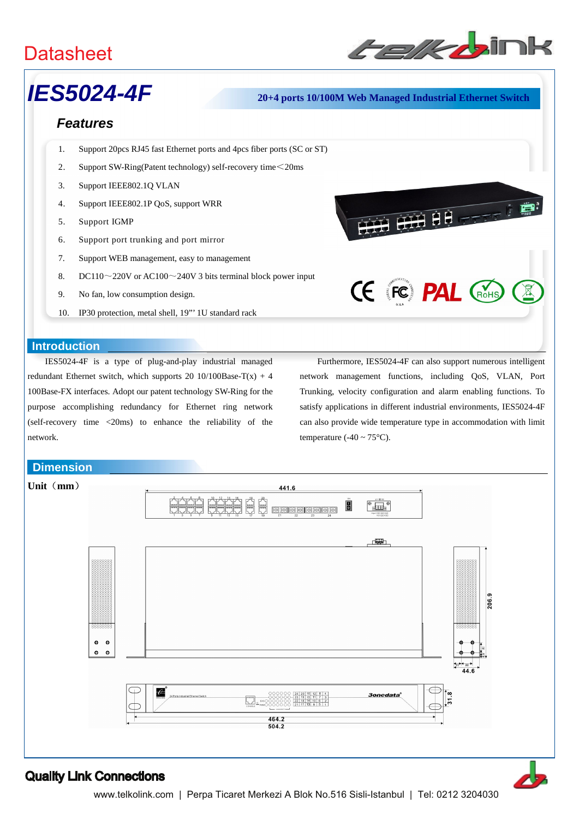

**THE REAL PROPERTY OF** 

# *IES5024-4F* **20+4 ports 10/100M Web Managed Industrial Ethernet Switch**

# *Features*

- 1. Support 20pcs RJ45 fast Ethernet ports and 4pcs fiber ports (SC or ST)
- 2. Support SW-Ring(Patent technology) self-recovery time<20ms
- 3. Support IEEE802.1Q VLAN
- 4. Support IEEE802.1P QoS, support WRR
- 5. Support IGMP
- 6. Support port trunking and port mirror
- 7. Support WEB management, easy to management
- 8. DC110 $\sim$ 220V or AC100 $\sim$ 240V 3 bits terminal block power input
- 9. No fan, low consumption design.
- 10. IP30 protection, metal shell, 19"' 1U standard rack

### **Introduction**

IES5024-4F is a type of plug-and-play industrial managed redundant Ethernet switch, which supports 20 10/100Base-T(x) + 4 100Base-FX interfaces. Adopt our patent technology SW-Ring for the purpose accomplishing redundancy for Ethernet ring network (self-recovery time <20ms) to enhance the reliability of the network.

**Dimension**

Furthermore, IES5024-4F can also support numerous intelligent network management functions, including QoS, VLAN, Port Trunking, velocity configuration and alarm enabling functions. To satisfy applications in different industrial environments, IES5024-4F can also provide wide temperature type in accommodation with limit temperature (-40  $\sim$  75 $^{\circ}$ C).

**CE FC PAL CROHS**